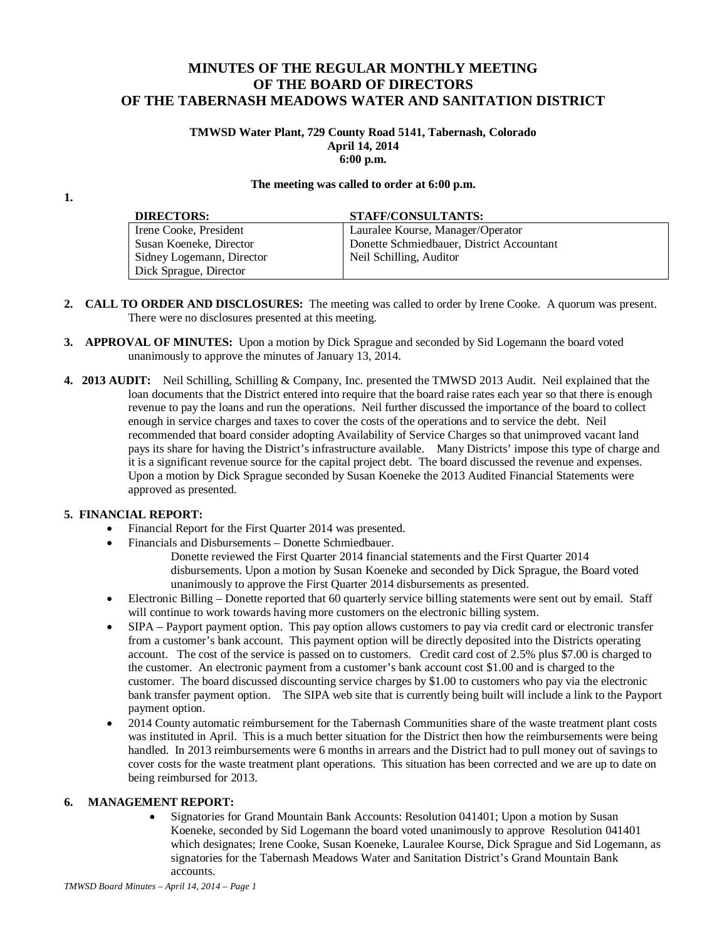# **MINUTES OF THE REGULAR MONTHLY MEETING OF THE BOARD OF DIRECTORS OF THE TABERNASH MEADOWS WATER AND SANITATION DISTRICT**

#### **TMWSD Water Plant, 729 County Road 5141, Tabernash, Colorado April 14, 2014 6:00 p.m.**

#### **The meeting was called to order at 6:00 p.m.**

**1.**

| <b>DIRECTORS:</b>         | <b>STAFF/CONSULTANTS:</b>                 |
|---------------------------|-------------------------------------------|
| Irene Cooke, President    | Lauralee Kourse, Manager/Operator         |
| Susan Koeneke, Director   | Donette Schmiedbauer, District Accountant |
| Sidney Logemann, Director | Neil Schilling, Auditor                   |
| Dick Sprague, Director    |                                           |

- **2. CALL TO ORDER AND DISCLOSURES:** The meeting was called to order by Irene Cooke. A quorum was present. There were no disclosures presented at this meeting.
- **3. APPROVAL OF MINUTES:** Upon a motion by Dick Sprague and seconded by Sid Logemann the board voted unanimously to approve the minutes of January 13, 2014.
- **4. 2013 AUDIT:** Neil Schilling, Schilling & Company, Inc. presented the TMWSD 2013 Audit. Neil explained that the loan documents that the District entered into require that the board raise rates each year so that there is enough revenue to pay the loans and run the operations. Neil further discussed the importance of the board to collect enough in service charges and taxes to cover the costs of the operations and to service the debt. Neil recommended that board consider adopting Availability of Service Charges so that unimproved vacant land pays its share for having the District's infrastructure available. Many Districts' impose this type of charge and it is a significant revenue source for the capital project debt. The board discussed the revenue and expenses. Upon a motion by Dick Sprague seconded by Susan Koeneke the 2013 Audited Financial Statements were approved as presented.

### **5. FINANCIAL REPORT:**

- Financial Report for the First Quarter 2014 was presented.
- Financials and Disbursements Donette Schmiedbauer.
	- Donette reviewed the First Quarter 2014 financial statements and the First Quarter 2014 disbursements. Upon a motion by Susan Koeneke and seconded by Dick Sprague, the Board voted unanimously to approve the First Quarter 2014 disbursements as presented.
- Electronic Billing Donette reported that 60 quarterly service billing statements were sent out by email. Staff will continue to work towards having more customers on the electronic billing system.
- SIPA Payport payment option. This pay option allows customers to pay via credit card or electronic transfer from a customer's bank account. This payment option will be directly deposited into the Districts operating account. The cost of the service is passed on to customers. Credit card cost of 2.5% plus \$7.00 is charged to the customer. An electronic payment from a customer's bank account cost \$1.00 and is charged to the customer. The board discussed discounting service charges by \$1.00 to customers who pay via the electronic bank transfer payment option. The SIPA web site that is currently being built will include a link to the Payport payment option.
- 2014 County automatic reimbursement for the Tabernash Communities share of the waste treatment plant costs was instituted in April. This is a much better situation for the District then how the reimbursements were being handled. In 2013 reimbursements were 6 months in arrears and the District had to pull money out of savings to cover costs for the waste treatment plant operations. This situation has been corrected and we are up to date on being reimbursed for 2013.

# **6. MANAGEMENT REPORT:**

• Signatories for Grand Mountain Bank Accounts: Resolution 041401; Upon a motion by Susan Koeneke, seconded by Sid Logemann the board voted unanimously to approve Resolution 041401 which designates; Irene Cooke, Susan Koeneke, Lauralee Kourse, Dick Sprague and Sid Logemann, as signatories for the Tabernash Meadows Water and Sanitation District's Grand Mountain Bank accounts.